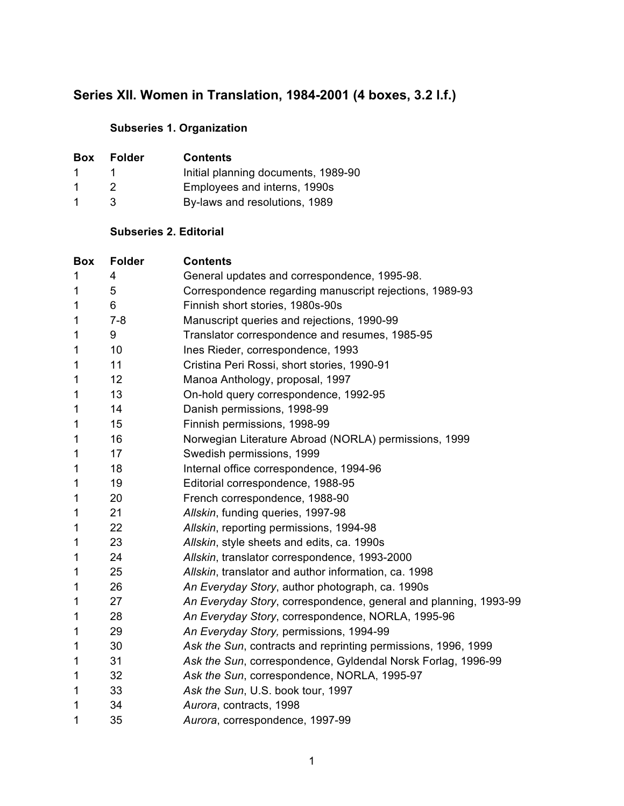# **Series XII. Women in Translation, 1984-2001 (4 boxes, 3.2 l.f.)**

## **Subseries 1. Organization**

| <b>Box</b>  | <b>Folder</b> | <b>Contents</b>                     |
|-------------|---------------|-------------------------------------|
| 1.          |               | Initial planning documents, 1989-90 |
| -1          |               | Employees and interns, 1990s        |
| $\mathbf 1$ | ર             | By-laws and resolutions, 1989       |

### **Subseries 2. Editorial**

| <b>Box</b>  | <b>Folder</b> | <b>Contents</b>                                                  |
|-------------|---------------|------------------------------------------------------------------|
| 1           | 4             | General updates and correspondence, 1995-98.                     |
| 1           | 5             | Correspondence regarding manuscript rejections, 1989-93          |
| $\mathbf 1$ | 6             | Finnish short stories, 1980s-90s                                 |
| 1           | $7 - 8$       | Manuscript queries and rejections, 1990-99                       |
| 1           | 9             | Translator correspondence and resumes, 1985-95                   |
| 1           | 10            | Ines Rieder, correspondence, 1993                                |
| 1           | 11            | Cristina Peri Rossi, short stories, 1990-91                      |
| 1           | 12            | Manoa Anthology, proposal, 1997                                  |
| 1           | 13            | On-hold query correspondence, 1992-95                            |
| 1           | 14            | Danish permissions, 1998-99                                      |
| 1           | 15            | Finnish permissions, 1998-99                                     |
| 1           | 16            | Norwegian Literature Abroad (NORLA) permissions, 1999            |
| 1           | 17            | Swedish permissions, 1999                                        |
| 1           | 18            | Internal office correspondence, 1994-96                          |
| 1           | 19            | Editorial correspondence, 1988-95                                |
| 1           | 20            | French correspondence, 1988-90                                   |
| 1           | 21            | Allskin, funding queries, 1997-98                                |
| 1           | 22            | Allskin, reporting permissions, 1994-98                          |
| 1           | 23            | Allskin, style sheets and edits, ca. 1990s                       |
| 1           | 24            | Allskin, translator correspondence, 1993-2000                    |
| 1           | 25            | Allskin, translator and author information, ca. 1998             |
| 1           | 26            | An Everyday Story, author photograph, ca. 1990s                  |
| 1           | 27            | An Everyday Story, correspondence, general and planning, 1993-99 |
| 1           | 28            | An Everyday Story, correspondence, NORLA, 1995-96                |
| 1           | 29            | An Everyday Story, permissions, 1994-99                          |
| 1           | 30            | Ask the Sun, contracts and reprinting permissions, 1996, 1999    |
| 1           | 31            | Ask the Sun, correspondence, Gyldendal Norsk Forlag, 1996-99     |
| 1           | 32            | Ask the Sun, correspondence, NORLA, 1995-97                      |
| 1           | 33            | Ask the Sun, U.S. book tour, 1997                                |
| 1           | 34            | Aurora, contracts, 1998                                          |
| 1           | 35            | Aurora, correspondence, 1997-99                                  |
|             |               |                                                                  |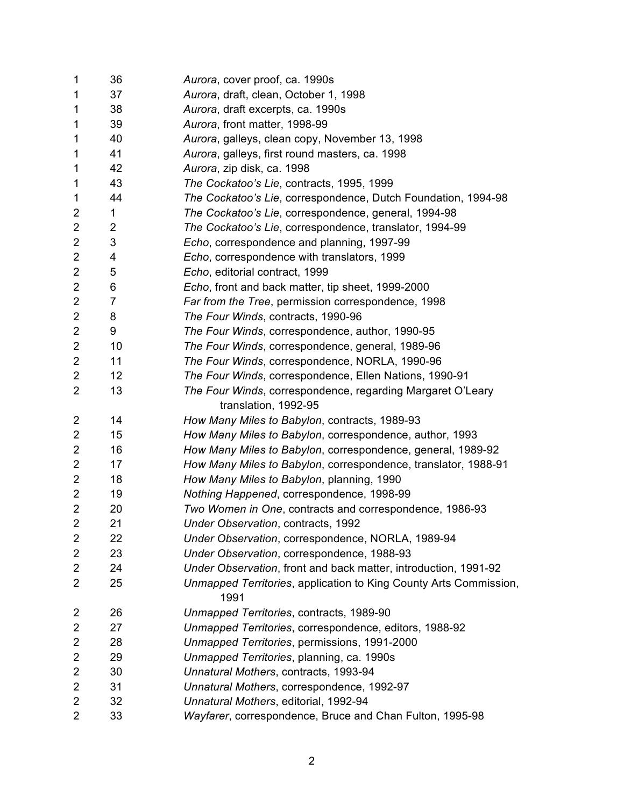| $\mathbf 1$             | 36 | Aurora, cover proof, ca. 1990s                                    |
|-------------------------|----|-------------------------------------------------------------------|
| 1                       | 37 | Aurora, draft, clean, October 1, 1998                             |
| 1                       | 38 | Aurora, draft excerpts, ca. 1990s                                 |
| 1                       | 39 | Aurora, front matter, 1998-99                                     |
| 1                       | 40 | Aurora, galleys, clean copy, November 13, 1998                    |
| 1                       | 41 | Aurora, galleys, first round masters, ca. 1998                    |
| 1                       | 42 | Aurora, zip disk, ca. 1998                                        |
| 1                       | 43 | The Cockatoo's Lie, contracts, 1995, 1999                         |
| 1                       | 44 | The Cockatoo's Lie, correspondence, Dutch Foundation, 1994-98     |
| 2                       | 1  | The Cockatoo's Lie, correspondence, general, 1994-98              |
| $\overline{2}$          | 2  | The Cockatoo's Lie, correspondence, translator, 1994-99           |
| $\overline{2}$          | 3  | Echo, correspondence and planning, 1997-99                        |
| $\overline{2}$          | 4  | Echo, correspondence with translators, 1999                       |
| $\overline{2}$          | 5  | Echo, editorial contract, 1999                                    |
| $\overline{2}$          | 6  | Echo, front and back matter, tip sheet, 1999-2000                 |
| $\overline{2}$          | 7  | Far from the Tree, permission correspondence, 1998                |
| $\overline{2}$          | 8  | The Four Winds, contracts, 1990-96                                |
| $\overline{2}$          | 9  | The Four Winds, correspondence, author, 1990-95                   |
| $\overline{2}$          | 10 | The Four Winds, correspondence, general, 1989-96                  |
| $\overline{2}$          | 11 | The Four Winds, correspondence, NORLA, 1990-96                    |
| $\overline{2}$          | 12 | The Four Winds, correspondence, Ellen Nations, 1990-91            |
| $\overline{2}$          | 13 | The Four Winds, correspondence, regarding Margaret O'Leary        |
|                         |    | translation, 1992-95                                              |
| 2                       | 14 | How Many Miles to Babylon, contracts, 1989-93                     |
| $\overline{2}$          | 15 | How Many Miles to Babylon, correspondence, author, 1993           |
| 2                       | 16 | How Many Miles to Babylon, correspondence, general, 1989-92       |
| $\overline{2}$          | 17 | How Many Miles to Babylon, correspondence, translator, 1988-91    |
| $\overline{2}$          | 18 | How Many Miles to Babylon, planning, 1990                         |
| $\overline{2}$          | 19 | Nothing Happened, correspondence, 1998-99                         |
| $\overline{2}$          | 20 | Two Women in One, contracts and correspondence, 1986-93           |
| $\overline{2}$          | 21 | Under Observation, contracts, 1992                                |
| 2                       | 22 | Under Observation, correspondence, NORLA, 1989-94                 |
| 2                       | 23 | Under Observation, correspondence, 1988-93                        |
| $\overline{2}$          | 24 | Under Observation, front and back matter, introduction, 1991-92   |
| 2                       | 25 | Unmapped Territories, application to King County Arts Commission, |
|                         |    | 1991                                                              |
| $\overline{\mathbf{c}}$ | 26 | Unmapped Territories, contracts, 1989-90                          |
| $\overline{2}$          | 27 | Unmapped Territories, correspondence, editors, 1988-92            |
| $\overline{2}$          | 28 | Unmapped Territories, permissions, 1991-2000                      |
| 2                       | 29 | Unmapped Territories, planning, ca. 1990s                         |
| $\overline{2}$          | 30 | Unnatural Mothers, contracts, 1993-94                             |
| $\overline{2}$          | 31 | Unnatural Mothers, correspondence, 1992-97                        |
| $\overline{2}$          | 32 | Unnatural Mothers, editorial, 1992-94                             |
| 2                       | 33 | Wayfarer, correspondence, Bruce and Chan Fulton, 1995-98          |
|                         |    |                                                                   |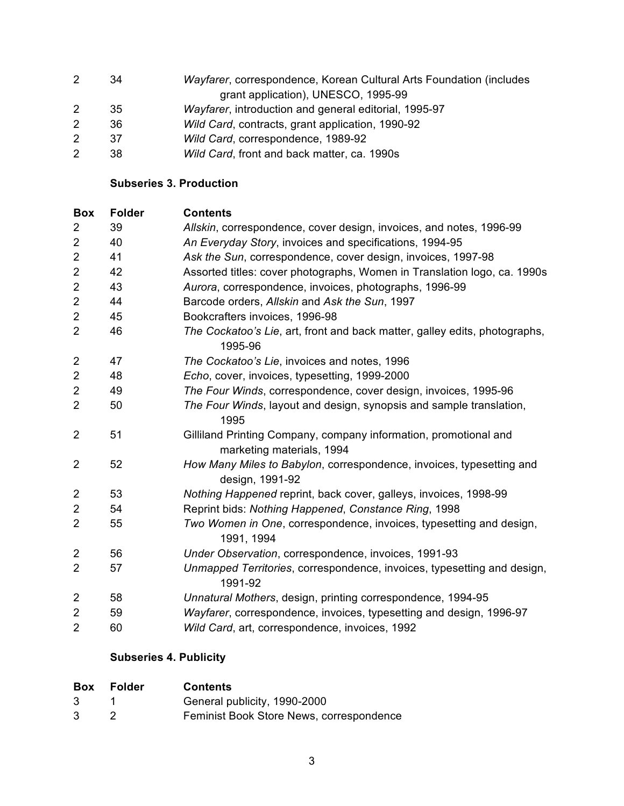- 34 *Wayfarer*, correspondence, Korean Cultural Arts Foundation (includes grant application), UNESCO, 1995-99 35 *Wayfarer*, introduction and general editorial, 1995-97 36 *Wild Card*, contracts, grant application, 1990-92 37 *Wild Card*, correspondence, 1989-92
- 38 *Wild Card*, front and back matter, ca. 1990s

#### **Subseries 3. Production**

| <b>Box</b>     | <b>Folder</b> | <b>Contents</b>                                                                               |
|----------------|---------------|-----------------------------------------------------------------------------------------------|
| $\overline{2}$ | 39            | Allskin, correspondence, cover design, invoices, and notes, 1996-99                           |
| $\overline{2}$ | 40            | An Everyday Story, invoices and specifications, 1994-95                                       |
| $\overline{2}$ | 41            | Ask the Sun, correspondence, cover design, invoices, 1997-98                                  |
| $\overline{2}$ | 42            | Assorted titles: cover photographs, Women in Translation logo, ca. 1990s                      |
| $\mathbf 2$    | 43            | Aurora, correspondence, invoices, photographs, 1996-99                                        |
| $\overline{c}$ | 44            | Barcode orders, Allskin and Ask the Sun, 1997                                                 |
| $\mathbf 2$    | 45            | Bookcrafters invoices, 1996-98                                                                |
| $\overline{2}$ | 46            | The Cockatoo's Lie, art, front and back matter, galley edits, photographs,<br>1995-96         |
| $\overline{c}$ | 47            | The Cockatoo's Lie, invoices and notes, 1996                                                  |
| $\overline{2}$ | 48            | Echo, cover, invoices, typesetting, 1999-2000                                                 |
| $\overline{2}$ | 49            | The Four Winds, correspondence, cover design, invoices, 1995-96                               |
| $\overline{2}$ | 50            | The Four Winds, layout and design, synopsis and sample translation,<br>1995                   |
| $\overline{2}$ | 51            | Gilliland Printing Company, company information, promotional and<br>marketing materials, 1994 |
| $\overline{2}$ | 52            | How Many Miles to Babylon, correspondence, invoices, typesetting and<br>design, 1991-92       |
| 2              | 53            | Nothing Happened reprint, back cover, galleys, invoices, 1998-99                              |
| $\overline{2}$ | 54            | Reprint bids: Nothing Happened, Constance Ring, 1998                                          |
| $\overline{2}$ | 55            | Two Women in One, correspondence, invoices, typesetting and design,<br>1991, 1994             |
| $\overline{2}$ | 56            | Under Observation, correspondence, invoices, 1991-93                                          |
| $\overline{2}$ | 57            | Unmapped Territories, correspondence, invoices, typesetting and design,<br>1991-92            |
| $\overline{2}$ | 58            | Unnatural Mothers, design, printing correspondence, 1994-95                                   |
| $\mathbf 2$    | 59            | Wayfarer, correspondence, invoices, typesetting and design, 1996-97                           |
| $\overline{2}$ | 60            | Wild Card, art, correspondence, invoices, 1992                                                |

### **Subseries 4. Publicity**

| <b>Box</b> | Folder | <b>Contents</b>                          |
|------------|--------|------------------------------------------|
| 3          |        | General publicity, 1990-2000             |
| 3          |        | Feminist Book Store News, correspondence |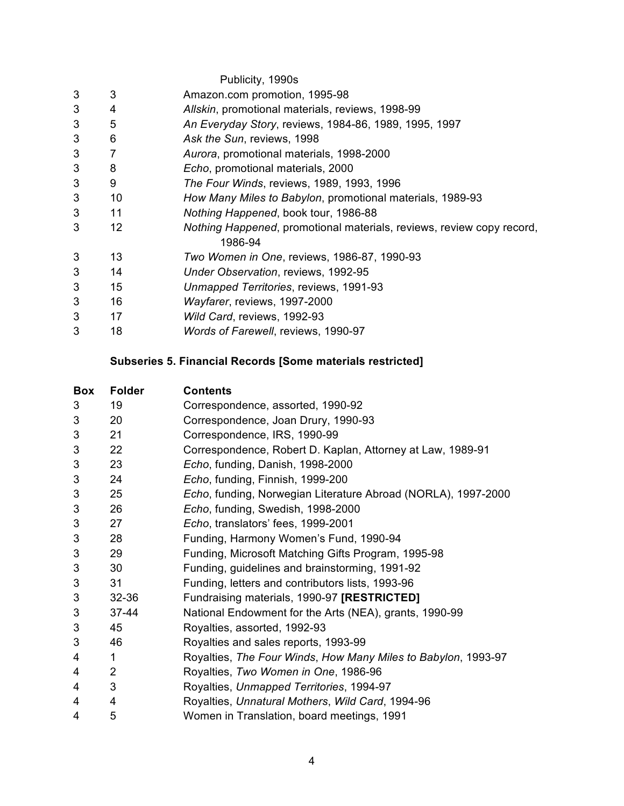|   |    | Publicity, 1990s                                                      |
|---|----|-----------------------------------------------------------------------|
| 3 | 3  | Amazon.com promotion, 1995-98                                         |
| 3 | 4  | Allskin, promotional materials, reviews, 1998-99                      |
| 3 | 5  | An Everyday Story, reviews, 1984-86, 1989, 1995, 1997                 |
| 3 | 6  | Ask the Sun, reviews, 1998                                            |
| 3 | 7  | Aurora, promotional materials, 1998-2000                              |
| 3 | 8  | Echo, promotional materials, 2000                                     |
| 3 | 9  | The Four Winds, reviews, 1989, 1993, 1996                             |
| 3 | 10 | How Many Miles to Babylon, promotional materials, 1989-93             |
| 3 | 11 | Nothing Happened, book tour, 1986-88                                  |
| 3 | 12 | Nothing Happened, promotional materials, reviews, review copy record, |
|   |    | 1986-94                                                               |
| 3 | 13 | Two Women in One, reviews, 1986-87, 1990-93                           |
| 3 | 14 | Under Observation, reviews, 1992-95                                   |
| 3 | 15 | Unmapped Territories, reviews, 1991-93                                |
| 3 | 16 | Wayfarer, reviews, 1997-2000                                          |
| 3 | 17 | Wild Card, reviews, 1992-93                                           |
| 3 | 18 | Words of Farewell, reviews, 1990-97                                   |

# **Subseries 5. Financial Records [Some materials restricted]**

| <b>Box</b> | <b>Folder</b>  | Contents                                                      |
|------------|----------------|---------------------------------------------------------------|
| 3          | 19             | Correspondence, assorted, 1990-92                             |
| 3          | 20             | Correspondence, Joan Drury, 1990-93                           |
| 3          | 21             | Correspondence, IRS, 1990-99                                  |
| 3          | 22             | Correspondence, Robert D. Kaplan, Attorney at Law, 1989-91    |
| $\sqrt{3}$ | 23             | Echo, funding, Danish, 1998-2000                              |
| 3          | 24             | Echo, funding, Finnish, 1999-200                              |
| 3          | 25             | Echo, funding, Norwegian Literature Abroad (NORLA), 1997-2000 |
| 3          | 26             | Echo, funding, Swedish, 1998-2000                             |
| 3          | 27             | Echo, translators' fees, 1999-2001                            |
| 3          | 28             | Funding, Harmony Women's Fund, 1990-94                        |
| 3          | 29             | Funding, Microsoft Matching Gifts Program, 1995-98            |
| 3          | 30             | Funding, guidelines and brainstorming, 1991-92                |
| 3          | 31             | Funding, letters and contributors lists, 1993-96              |
| 3          | 32-36          | Fundraising materials, 1990-97 [RESTRICTED]                   |
| 3          | $37 - 44$      | National Endowment for the Arts (NEA), grants, 1990-99        |
| 3          | 45             | Royalties, assorted, 1992-93                                  |
| 3          | 46             | Royalties and sales reports, 1993-99                          |
| 4          | 1              | Royalties, The Four Winds, How Many Miles to Babylon, 1993-97 |
| 4          | $\overline{2}$ | Royalties, Two Women in One, 1986-96                          |
| 4          | 3              | Royalties, Unmapped Territories, 1994-97                      |
| 4          | 4              | Royalties, Unnatural Mothers, Wild Card, 1994-96              |
| 4          | 5              | Women in Translation, board meetings, 1991                    |
|            |                |                                                               |